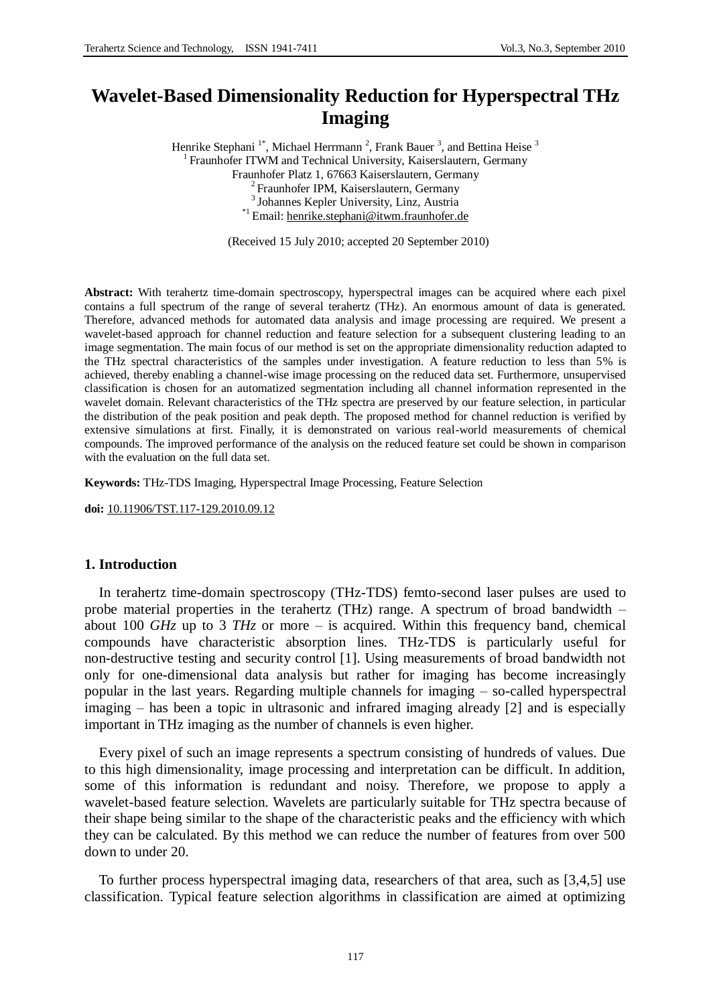# **Wavelet-Based Dimensionality Reduction for Hyperspectral THz Imaging**

Henrike Stephani<sup>1\*</sup>, Michael Herrmann<sup>2</sup>, Frank Bauer<sup>3</sup>, and Bettina Heise<sup>3</sup> <sup>1</sup> Fraunhofer ITWM and Technical University, Kaiserslautern, Germany Fraunhofer Platz 1, 67663 Kaiserslautern, Germany <sup>2</sup> Fraunhofer IPM, Kaiserslautern, Germany 3 Johannes Kepler University, Linz, Austria \*1 Email: [henrike.stephani@itwm.fraunhofer.de](mailto:henrike.stephani@itwm.fraunhofer.de)

(Received 15 July 2010; accepted 20 September 2010)

**Abstract:** With terahertz time-domain spectroscopy, hyperspectral images can be acquired where each pixel contains a full spectrum of the range of several terahertz (THz). An enormous amount of data is generated. Therefore, advanced methods for automated data analysis and image processing are required. We present a wavelet-based approach for channel reduction and feature selection for a subsequent clustering leading to an image segmentation. The main focus of our method is set on the appropriate dimensionality reduction adapted to the THz spectral characteristics of the samples under investigation. A feature reduction to less than 5% is achieved, thereby enabling a channel-wise image processing on the reduced data set. Furthermore, unsupervised classification is chosen for an automatized segmentation including all channel information represented in the wavelet domain. Relevant characteristics of the THz spectra are preserved by our feature selection, in particular the distribution of the peak position and peak depth. The proposed method for channel reduction is verified by extensive simulations at first. Finally, it is demonstrated on various real-world measurements of chemical compounds. The improved performance of the analysis on the reduced feature set could be shown in comparison with the evaluation on the full data set.

**Keywords:** THz-TDS Imaging, Hyperspectral Image Processing, Feature Selection

**doi:** [10.11906/TST.117-129.2010.09.12](http://www.tstnetwork.org/10.11906/TST.117-129.2010.09.12)

# **1. Introduction**

In terahertz time-domain spectroscopy (THz-TDS) femto-second laser pulses are used to probe material properties in the terahertz (THz) range. A spectrum of broad bandwidth – about 100 *GHz* up to 3 *THz* or more – is acquired. Within this frequency band, chemical compounds have characteristic absorption lines. THz-TDS is particularly useful for non-destructive testing and security control [1]. Using measurements of broad bandwidth not only for one-dimensional data analysis but rather for imaging has become increasingly popular in the last years. Regarding multiple channels for imaging – so-called hyperspectral imaging – has been a topic in ultrasonic and infrared imaging already [2] and is especially important in THz imaging as the number of channels is even higher.

Every pixel of such an image represents a spectrum consisting of hundreds of values. Due to this high dimensionality, image processing and interpretation can be difficult. In addition, some of this information is redundant and noisy. Therefore, we propose to apply a wavelet-based feature selection. Wavelets are particularly suitable for THz spectra because of their shape being similar to the shape of the characteristic peaks and the efficiency with which they can be calculated. By this method we can reduce the number of features from over 500 down to under 20.

To further process hyperspectral imaging data, researchers of that area, such as [3,4,5] use classification. Typical feature selection algorithms in classification are aimed at optimizing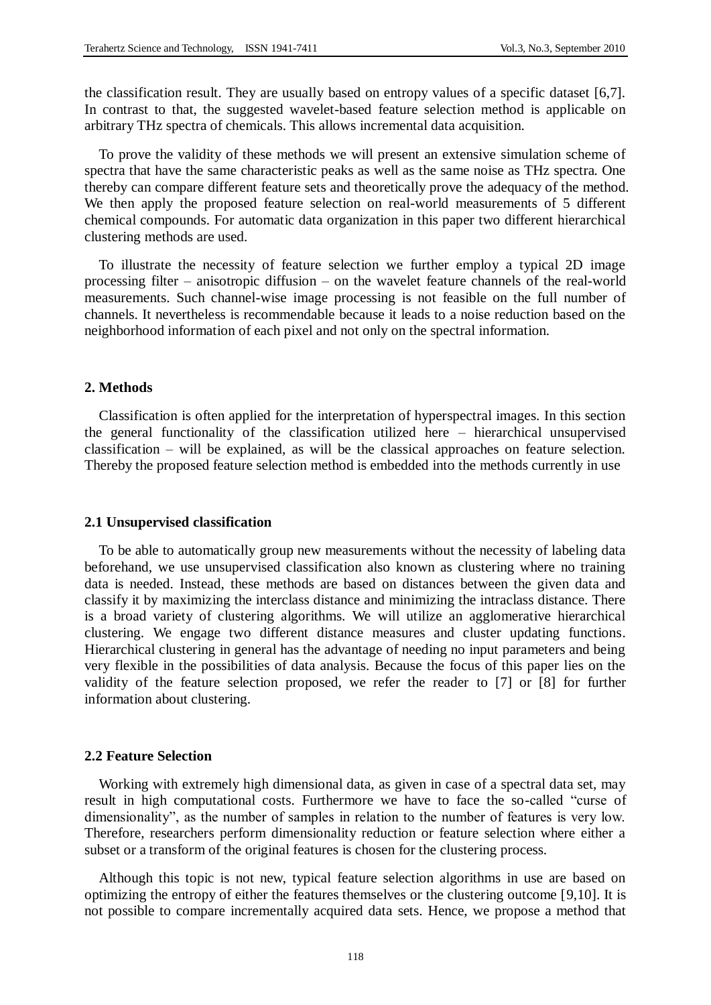the classification result. They are usually based on entropy values of a specific dataset [6,7]. In contrast to that, the suggested wavelet-based feature selection method is applicable on arbitrary THz spectra of chemicals. This allows incremental data acquisition.

To prove the validity of these methods we will present an extensive simulation scheme of spectra that have the same characteristic peaks as well as the same noise as THz spectra. One thereby can compare different feature sets and theoretically prove the adequacy of the method. We then apply the proposed feature selection on real-world measurements of 5 different chemical compounds. For automatic data organization in this paper two different hierarchical clustering methods are used.

To illustrate the necessity of feature selection we further employ a typical 2D image processing filter – anisotropic diffusion – on the wavelet feature channels of the real-world measurements. Such channel-wise image processing is not feasible on the full number of channels. It nevertheless is recommendable because it leads to a noise reduction based on the neighborhood information of each pixel and not only on the spectral information.

# **2. Methods**

Classification is often applied for the interpretation of hyperspectral images. In this section the general functionality of the classification utilized here – hierarchical unsupervised classification – will be explained, as will be the classical approaches on feature selection. Thereby the proposed feature selection method is embedded into the methods currently in use

#### **2.1 Unsupervised classification**

To be able to automatically group new measurements without the necessity of labeling data beforehand, we use unsupervised classification also known as clustering where no training data is needed. Instead, these methods are based on distances between the given data and classify it by maximizing the interclass distance and minimizing the intraclass distance. There is a broad variety of clustering algorithms. We will utilize an agglomerative hierarchical clustering. We engage two different distance measures and cluster updating functions. Hierarchical clustering in general has the advantage of needing no input parameters and being very flexible in the possibilities of data analysis. Because the focus of this paper lies on the validity of the feature selection proposed, we refer the reader to [7] or [8] for further information about clustering.

### **2.2 Feature Selection**

Working with extremely high dimensional data, as given in case of a spectral data set, may result in high computational costs. Furthermore we have to face the so-called "curse of dimensionality", as the number of samples in relation to the number of features is very low. Therefore, researchers perform dimensionality reduction or feature selection where either a subset or a transform of the original features is chosen for the clustering process.

Although this topic is not new, typical feature selection algorithms in use are based on optimizing the entropy of either the features themselves or the clustering outcome [9,10]. It is not possible to compare incrementally acquired data sets. Hence, we propose a method that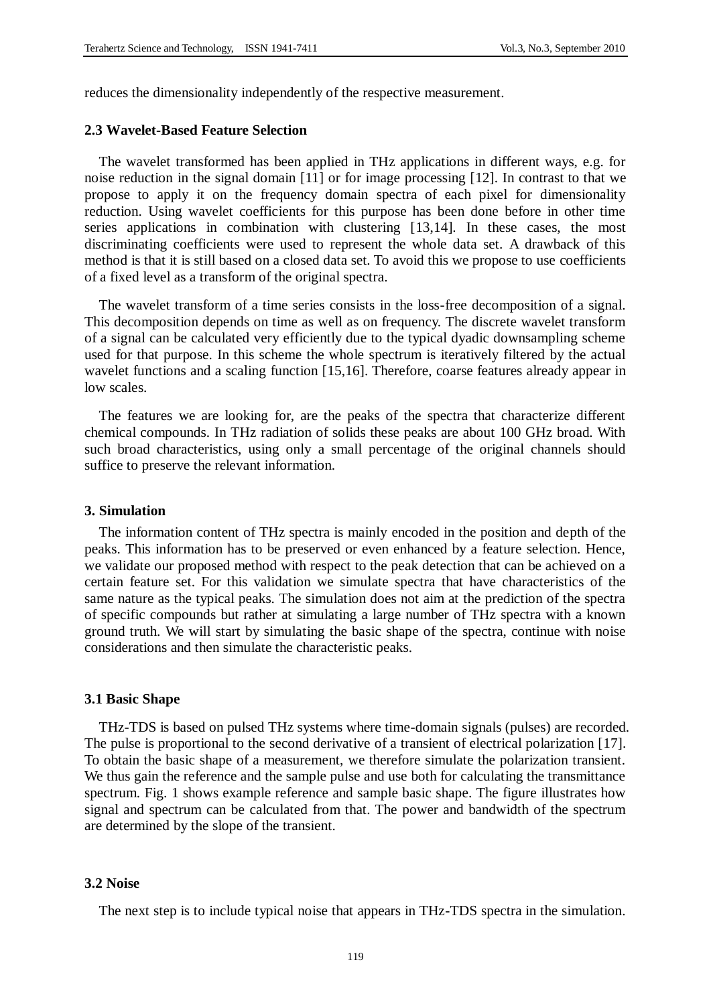reduces the dimensionality independently of the respective measurement.

# **2.3 Wavelet-Based Feature Selection**

The wavelet transformed has been applied in THz applications in different ways, e.g. for noise reduction in the signal domain [11] or for image processing [12]. In contrast to that we propose to apply it on the frequency domain spectra of each pixel for dimensionality reduction. Using wavelet coefficients for this purpose has been done before in other time series applications in combination with clustering [13,14]. In these cases, the most discriminating coefficients were used to represent the whole data set. A drawback of this method is that it is still based on a closed data set. To avoid this we propose to use coefficients of a fixed level as a transform of the original spectra.

The wavelet transform of a time series consists in the loss-free decomposition of a signal. This decomposition depends on time as well as on frequency. The discrete wavelet transform of a signal can be calculated very efficiently due to the typical dyadic downsampling scheme used for that purpose. In this scheme the whole spectrum is iteratively filtered by the actual wavelet functions and a scaling function [15,16]. Therefore, coarse features already appear in low scales.

The features we are looking for, are the peaks of the spectra that characterize different chemical compounds. In THz radiation of solids these peaks are about 100 GHz broad. With such broad characteristics, using only a small percentage of the original channels should suffice to preserve the relevant information.

## **3. Simulation**

The information content of THz spectra is mainly encoded in the position and depth of the peaks. This information has to be preserved or even enhanced by a feature selection. Hence, we validate our proposed method with respect to the peak detection that can be achieved on a certain feature set. For this validation we simulate spectra that have characteristics of the same nature as the typical peaks. The simulation does not aim at the prediction of the spectra of specific compounds but rather at simulating a large number of THz spectra with a known ground truth. We will start by simulating the basic shape of the spectra, continue with noise considerations and then simulate the characteristic peaks.

#### **3.1 Basic Shape**

THz-TDS is based on pulsed THz systems where time-domain signals (pulses) are recorded. The pulse is proportional to the second derivative of a transient of electrical polarization [17]. To obtain the basic shape of a measurement, we therefore simulate the polarization transient. We thus gain the reference and the sample pulse and use both for calculating the transmittance spectrum. Fig. 1 shows example reference and sample basic shape. The figure illustrates how signal and spectrum can be calculated from that. The power and bandwidth of the spectrum are determined by the slope of the transient.

# **3.2 Noise**

The next step is to include typical noise that appears in THz-TDS spectra in the simulation.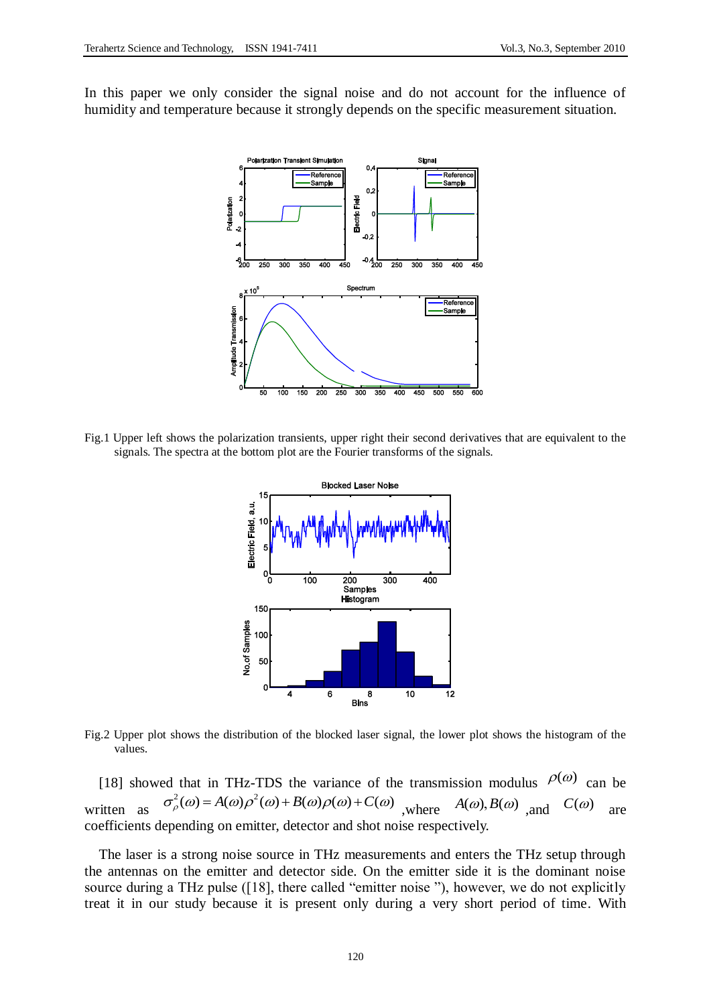In this paper we only consider the signal noise and do not account for the influence of humidity and temperature because it strongly depends on the specific measurement situation.



Fig.1 Upper left shows the polarization transients, upper right their second derivatives that are equivalent to the signals. The spectra at the bottom plot are the Fourier transforms of the signals.



Fig.2 Upper plot shows the distribution of the blocked laser signal, the lower plot shows the histogram of the values.

[18] showed that in THz-TDS the variance of the transmission modulus  $\rho(\omega)$  can be written as ed that in THz-TDS the variance of the transmission modulus  $\frac{\rho(\omega)}{c}$  c<br>  $\sigma_{\rho}^2(\omega) = A(\omega)\rho^2(\omega) + B(\omega)\rho(\omega) + C(\omega)$ , where  $A(\omega), B(\omega)$ , and  $C(\omega)$ are coefficients depending on emitter, detector and shot noise respectively.

The laser is a strong noise source in THz measurements and enters the THz setup through the antennas on the emitter and detector side. On the emitter side it is the dominant noise source during a THz pulse ([18], there called "emitter noise"), however, we do not explicitly treat it in our study because it is present only during a very short period of time. With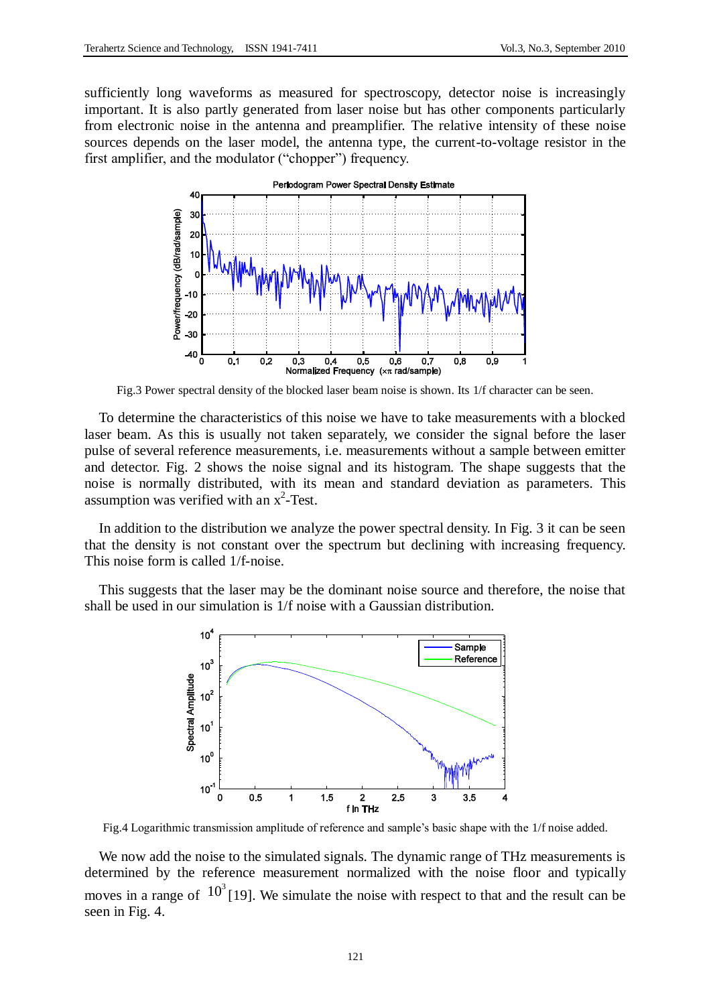sufficiently long waveforms as measured for spectroscopy, detector noise is increasingly important. It is also partly generated from laser noise but has other components particularly from electronic noise in the antenna and preamplifier. The relative intensity of these noise sources depends on the laser model, the antenna type, the current-to-voltage resistor in the first amplifier, and the modulator ("chopper") frequency.



Fig.3 Power spectral density of the blocked laser beam noise is shown. Its 1/f character can be seen.

To determine the characteristics of this noise we have to take measurements with a blocked laser beam. As this is usually not taken separately, we consider the signal before the laser pulse of several reference measurements, i.e. measurements without a sample between emitter and detector. Fig. 2 shows the noise signal and its histogram. The shape suggests that the noise is normally distributed, with its mean and standard deviation as parameters. This assumption was verified with an  $x^2$ -Test.

In addition to the distribution we analyze the power spectral density. In Fig. 3 it can be seen that the density is not constant over the spectrum but declining with increasing frequency. This noise form is called 1/f-noise.

This suggests that the laser may be the dominant noise source and therefore, the noise that shall be used in our simulation is 1/f noise with a Gaussian distribution.



Fig.4 Logarithmic transmission amplitude of reference and sample's basic shape with the 1/f noise added.

We now add the noise to the simulated signals. The dynamic range of THz measurements is determined by the reference measurement normalized with the noise floor and typically moves in a range of  $10^3$  [19]. We simulate the noise with respect to that and the result can be seen in Fig. 4.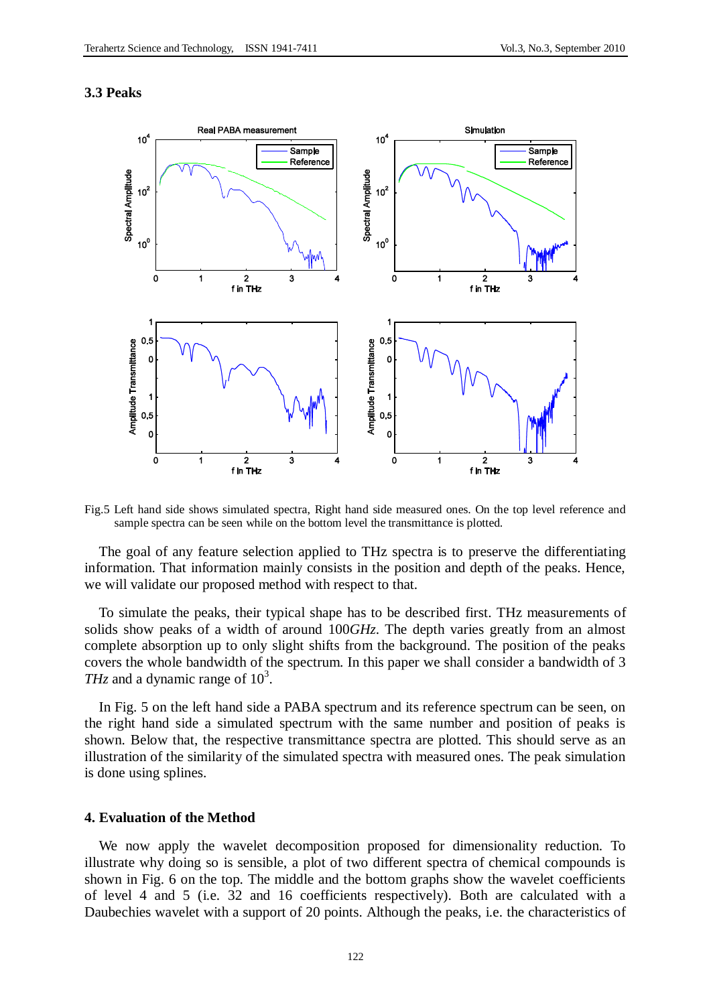# **3.3 Peaks**



Fig.5 Left hand side shows simulated spectra, Right hand side measured ones. On the top level reference and sample spectra can be seen while on the bottom level the transmittance is plotted.

The goal of any feature selection applied to THz spectra is to preserve the differentiating information. That information mainly consists in the position and depth of the peaks. Hence, we will validate our proposed method with respect to that.

To simulate the peaks, their typical shape has to be described first. THz measurements of solids show peaks of a width of around 100*GHz*. The depth varies greatly from an almost complete absorption up to only slight shifts from the background. The position of the peaks covers the whole bandwidth of the spectrum. In this paper we shall consider a bandwidth of 3 *THz* and a dynamic range of  $10^3$ .

In Fig. 5 on the left hand side a PABA spectrum and its reference spectrum can be seen, on the right hand side a simulated spectrum with the same number and position of peaks is shown. Below that, the respective transmittance spectra are plotted. This should serve as an illustration of the similarity of the simulated spectra with measured ones. The peak simulation is done using splines.

# **4. Evaluation of the Method**

We now apply the wavelet decomposition proposed for dimensionality reduction. To illustrate why doing so is sensible, a plot of two different spectra of chemical compounds is shown in Fig. 6 on the top. The middle and the bottom graphs show the wavelet coefficients of level 4 and 5 (i.e. 32 and 16 coefficients respectively). Both are calculated with a Daubechies wavelet with a support of 20 points. Although the peaks, i.e. the characteristics of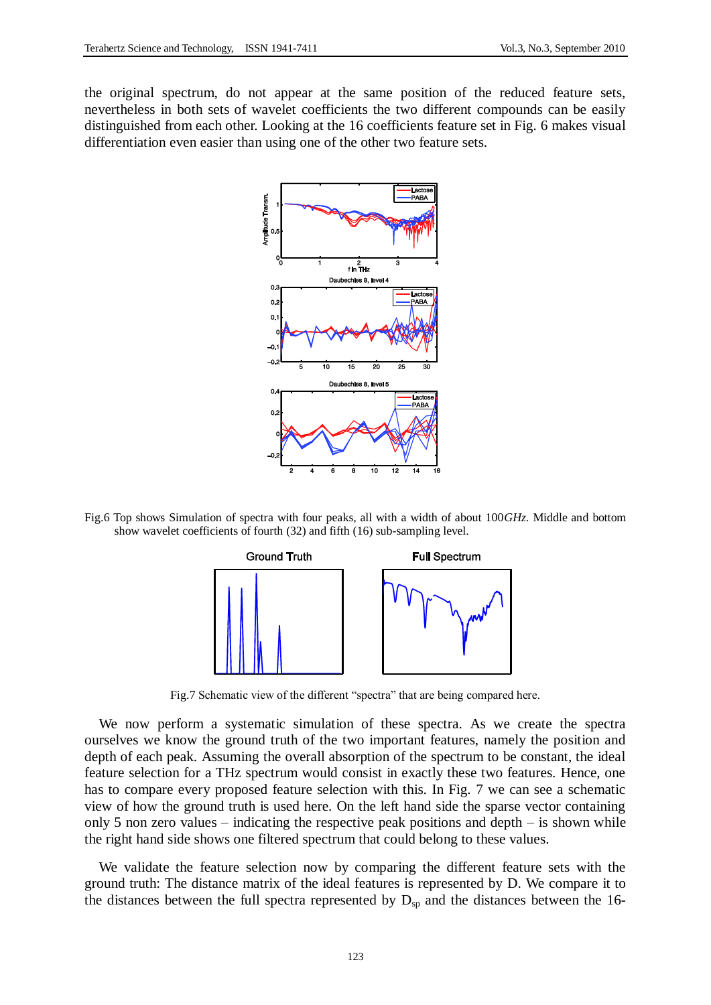the original spectrum, do not appear at the same position of the reduced feature sets, nevertheless in both sets of wavelet coefficients the two different compounds can be easily distinguished from each other. Looking at the 16 coefficients feature set in Fig. 6 makes visual differentiation even easier than using one of the other two feature sets.



Fig.6 Top shows Simulation of spectra with four peaks, all with a width of about 100*GHz*. Middle and bottom show wavelet coefficients of fourth (32) and fifth (16) sub-sampling level.



Fig.7 Schematic view of the different "spectra" that are being compared here.

We now perform a systematic simulation of these spectra. As we create the spectra ourselves we know the ground truth of the two important features, namely the position and depth of each peak. Assuming the overall absorption of the spectrum to be constant, the ideal feature selection for a THz spectrum would consist in exactly these two features. Hence, one has to compare every proposed feature selection with this. In Fig. 7 we can see a schematic view of how the ground truth is used here. On the left hand side the sparse vector containing only 5 non zero values – indicating the respective peak positions and depth – is shown while the right hand side shows one filtered spectrum that could belong to these values.

We validate the feature selection now by comparing the different feature sets with the ground truth: The distance matrix of the ideal features is represented by D. We compare it to the distances between the full spectra represented by  $D_{sp}$  and the distances between the 16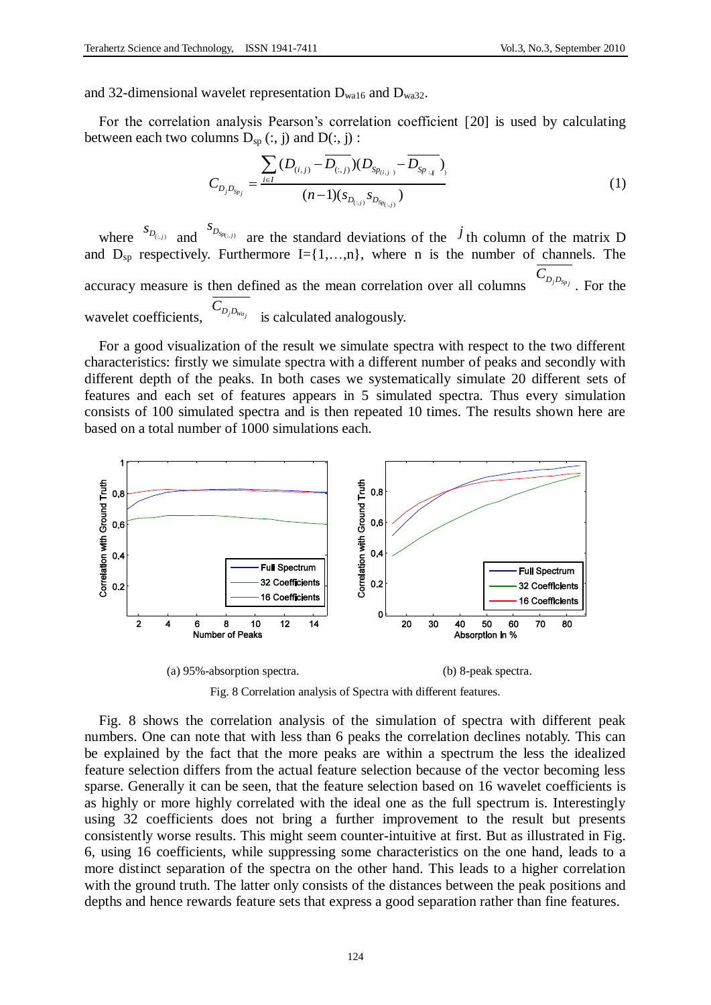and 32-dimensional wavelet representation  $D_{wa16}$  and  $D_{wa32}$ .

For the correlation analysis Pearson's correlation coefficient [20] is used by calculating

between each two columns 
$$
D_{sp}(:, j)
$$
 and  $D(:, j):$   
\n
$$
\frac{\sum_{i \in I} (D_{(i,j)} - \overline{D_{(:,j)}}) (D_{Sp_{(i,j)}} - \overline{D_{Sp_{:,j}}})}{(n-1) (s_{D_{(i,j)}} s_{D_{Sp_{(:,j)}}})}
$$
\n(1)

where  ${}^{S_{D_{(z,j)}}}$  and  ${}^{S_{D_{Sp(z,j)}}}$  are the standard deviations of the  $\bar{J}$  th column of the matrix D and  $D_{sp}$  respectively. Furthermore I={1,...,n}, where n is the number of channels. The accuracy measure is then defined as the mean correlation over all columns  $C_{D_j D_{Sp_j}}$ . For the wavelet coefficients,  $C_{D_j D_{Wa_j}}$  is calculated analogously.

For a good visualization of the result we simulate spectra with respect to the two different characteristics: firstly we simulate spectra with a different number of peaks and secondly with different depth of the peaks. In both cases we systematically simulate 20 different sets of features and each set of features appears in 5 simulated spectra. Thus every simulation consists of 100 simulated spectra and is then repeated 10 times. The results shown here are based on a total number of 1000 simulations each.



Fig. 8 Correlation analysis of Spectra with different features.

Fig. 8 shows the correlation analysis of the simulation of spectra with different peak numbers. One can note that with less than 6 peaks the correlation declines notably. This can be explained by the fact that the more peaks are within a spectrum the less the idealized feature selection differs from the actual feature selection because of the vector becoming less sparse. Generally it can be seen, that the feature selection based on 16 wavelet coefficients is as highly or more highly correlated with the ideal one as the full spectrum is. Interestingly using 32 coefficients does not bring a further improvement to the result but presents consistently worse results. This might seem counter-intuitive at first. But as illustrated in Fig. 6, using 16 coefficients, while suppressing some characteristics on the one hand, leads to a more distinct separation of the spectra on the other hand. This leads to a higher correlation with the ground truth. The latter only consists of the distances between the peak positions and depths and hence rewards feature sets that express a good separation rather than fine features.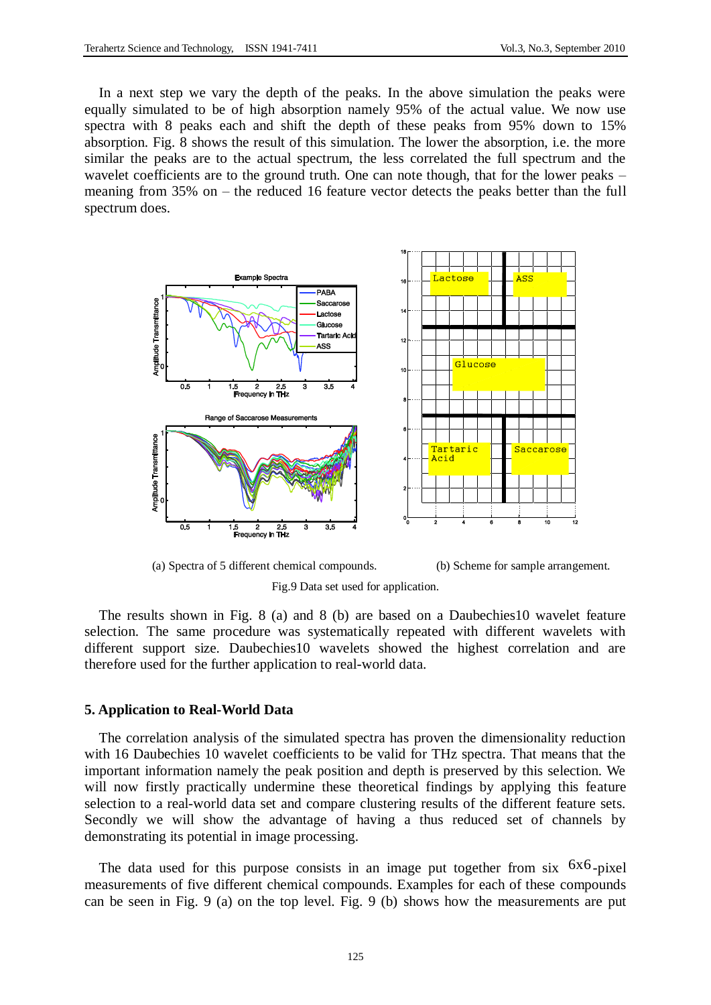In a next step we vary the depth of the peaks. In the above simulation the peaks were equally simulated to be of high absorption namely 95% of the actual value. We now use spectra with 8 peaks each and shift the depth of these peaks from 95% down to 15% absorption. Fig. 8 shows the result of this simulation. The lower the absorption, i.e. the more similar the peaks are to the actual spectrum, the less correlated the full spectrum and the wavelet coefficients are to the ground truth. One can note though, that for the lower peaks – meaning from 35% on – the reduced 16 feature vector detects the peaks better than the full spectrum does.





The results shown in Fig. 8 (a) and 8 (b) are based on a Daubechies10 wavelet feature selection. The same procedure was systematically repeated with different wavelets with different support size. Daubechies10 wavelets showed the highest correlation and are therefore used for the further application to real-world data.

## **5. Application to Real-World Data**

The correlation analysis of the simulated spectra has proven the dimensionality reduction with 16 Daubechies 10 wavelet coefficients to be valid for THz spectra. That means that the important information namely the peak position and depth is preserved by this selection. We will now firstly practically undermine these theoretical findings by applying this feature selection to a real-world data set and compare clustering results of the different feature sets. Secondly we will show the advantage of having a thus reduced set of channels by demonstrating its potential in image processing.

The data used for this purpose consists in an image put together from six  $6x6$ -pixel measurements of five different chemical compounds. Examples for each of these compounds can be seen in Fig. 9 (a) on the top level. Fig. 9 (b) shows how the measurements are put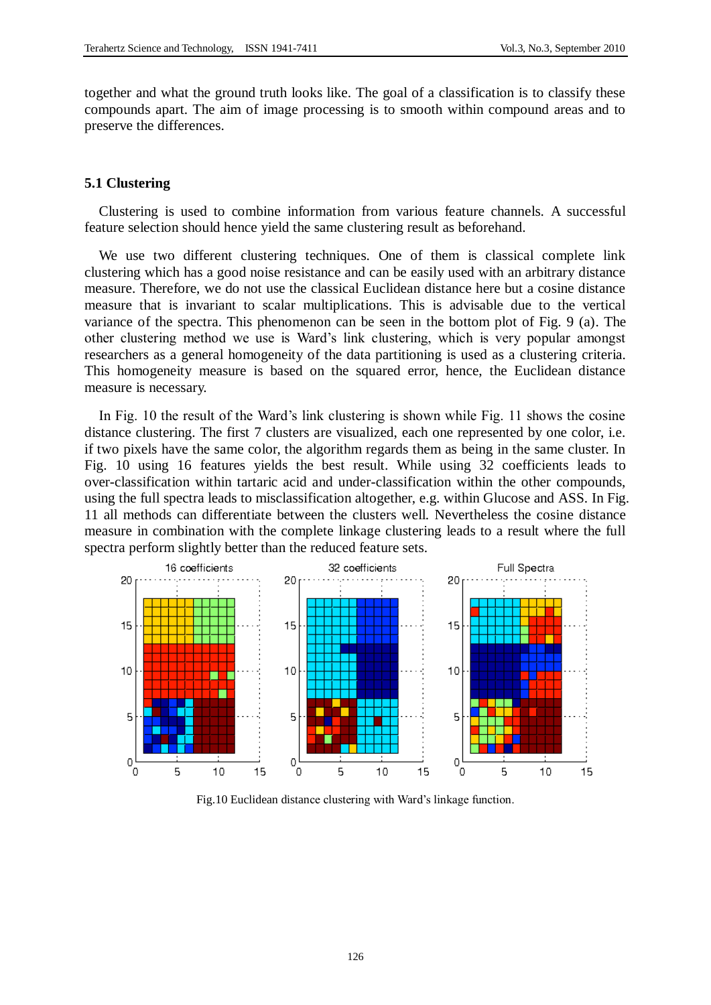together and what the ground truth looks like. The goal of a classification is to classify these compounds apart. The aim of image processing is to smooth within compound areas and to preserve the differences.

### **5.1 Clustering**

Clustering is used to combine information from various feature channels. A successful feature selection should hence yield the same clustering result as beforehand.

We use two different clustering techniques. One of them is classical complete link clustering which has a good noise resistance and can be easily used with an arbitrary distance measure. Therefore, we do not use the classical Euclidean distance here but a cosine distance measure that is invariant to scalar multiplications. This is advisable due to the vertical variance of the spectra. This phenomenon can be seen in the bottom plot of Fig. 9 (a). The other clustering method we use is Ward's link clustering, which is very popular amongst researchers as a general homogeneity of the data partitioning is used as a clustering criteria. This homogeneity measure is based on the squared error, hence, the Euclidean distance measure is necessary.

In Fig. 10 the result of the Ward's link clustering is shown while Fig. 11 shows the cosine distance clustering. The first 7 clusters are visualized, each one represented by one color, i.e. if two pixels have the same color, the algorithm regards them as being in the same cluster. In Fig. 10 using 16 features yields the best result. While using 32 coefficients leads to over-classification within tartaric acid and under-classification within the other compounds, using the full spectra leads to misclassification altogether, e.g. within Glucose and ASS. In Fig. 11 all methods can differentiate between the clusters well. Nevertheless the cosine distance measure in combination with the complete linkage clustering leads to a result where the full spectra perform slightly better than the reduced feature sets.



Fig.10 Euclidean distance clustering with Ward's linkage function.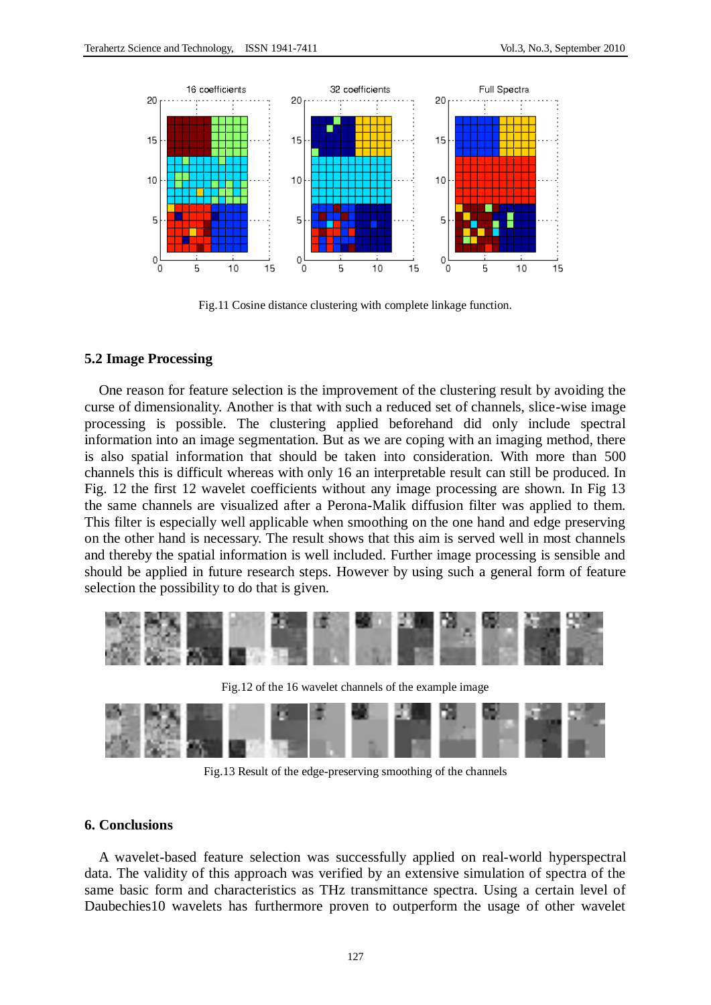

Fig.11 Cosine distance clustering with complete linkage function.

# **5.2 Image Processing**

One reason for feature selection is the improvement of the clustering result by avoiding the curse of dimensionality. Another is that with such a reduced set of channels, slice-wise image processing is possible. The clustering applied beforehand did only include spectral information into an image segmentation. But as we are coping with an imaging method, there is also spatial information that should be taken into consideration. With more than 500 channels this is difficult whereas with only 16 an interpretable result can still be produced. In Fig. 12 the first 12 wavelet coefficients without any image processing are shown. In Fig 13 the same channels are visualized after a Perona-Malik diffusion filter was applied to them. This filter is especially well applicable when smoothing on the one hand and edge preserving on the other hand is necessary. The result shows that this aim is served well in most channels and thereby the spatial information is well included. Further image processing is sensible and should be applied in future research steps. However by using such a general form of feature selection the possibility to do that is given.



Fig.13 Result of the edge-preserving smoothing of the channels

# **6. Conclusions**

A wavelet-based feature selection was successfully applied on real-world hyperspectral data. The validity of this approach was verified by an extensive simulation of spectra of the same basic form and characteristics as THz transmittance spectra. Using a certain level of Daubechies10 wavelets has furthermore proven to outperform the usage of other wavelet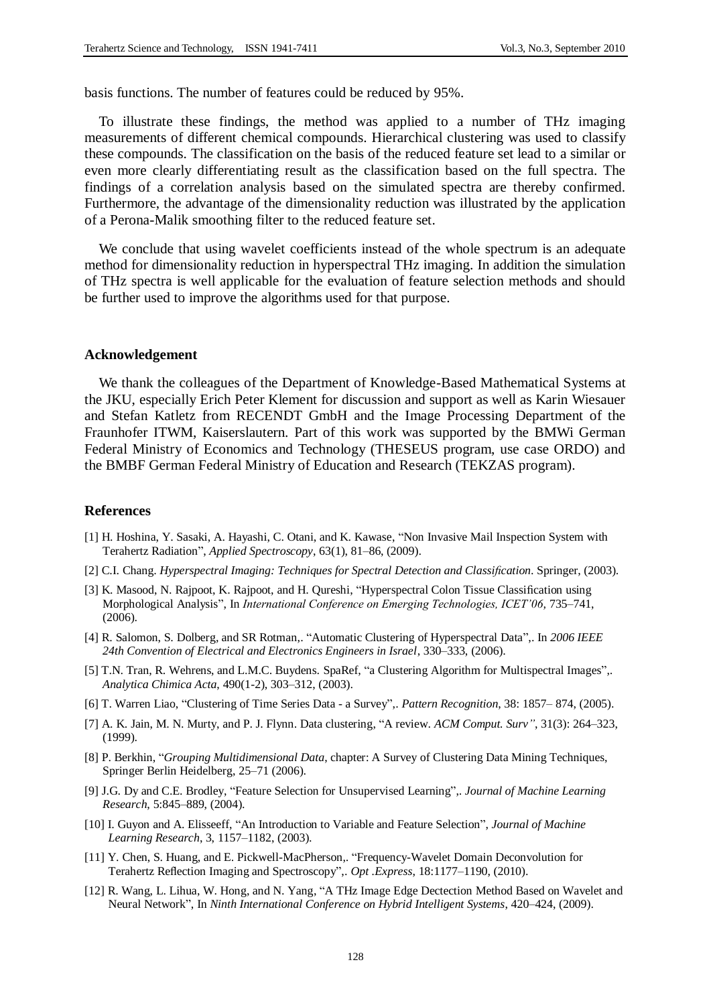basis functions. The number of features could be reduced by 95%.

To illustrate these findings, the method was applied to a number of THz imaging measurements of different chemical compounds. Hierarchical clustering was used to classify these compounds. The classification on the basis of the reduced feature set lead to a similar or even more clearly differentiating result as the classification based on the full spectra. The findings of a correlation analysis based on the simulated spectra are thereby confirmed. Furthermore, the advantage of the dimensionality reduction was illustrated by the application of a Perona-Malik smoothing filter to the reduced feature set.

We conclude that using wavelet coefficients instead of the whole spectrum is an adequate method for dimensionality reduction in hyperspectral THz imaging. In addition the simulation of THz spectra is well applicable for the evaluation of feature selection methods and should be further used to improve the algorithms used for that purpose.

## **Acknowledgement**

We thank the colleagues of the Department of Knowledge-Based Mathematical Systems at the JKU, especially Erich Peter Klement for discussion and support as well as Karin Wiesauer and Stefan Katletz from RECENDT GmbH and the Image Processing Department of the Fraunhofer ITWM, Kaiserslautern. Part of this work was supported by the BMWi German Federal Ministry of Economics and Technology (THESEUS program, use case ORDO) and the BMBF German Federal Ministry of Education and Research (TEKZAS program).

#### **References**

- [1] H. Hoshina, Y. Sasaki, A. Hayashi, C. Otani, and K. Kawase, "Non Invasive Mail Inspection System with Terahertz Radiation", *Applied Spectroscopy*, 63(1), 81–86, (2009).
- [2] C.I. Chang. *Hyperspectral Imaging: Techniques for Spectral Detection and Classification*. Springer, (2003).
- [3] K. Masood, N. Rajpoot, K. Rajpoot, and H. Qureshi, "Hyperspectral Colon Tissue Classification using Morphological Analysis", In *International Conference on Emerging Technologies, ICET'06,* 735–741, (2006).
- [4] R. Salomon, S. Dolberg, and SR Rotman,. "Automatic Clustering of Hyperspectral Data",. In *2006 IEEE 24th Convention of Electrical and Electronics Engineers in Israel*, 330–333, (2006).
- [5] T.N. Tran, R. Wehrens, and L.M.C. Buydens. SpaRef, "a Clustering Algorithm for Multispectral Images",. *Analytica Chimica Acta*, 490(1-2), 303–312, (2003).
- [6] T. Warren Liao, "Clustering of Time Series Data a Survey",. *Pattern Recognition*, 38: 1857– 874, (2005).
- [7] A. K. Jain, M. N. Murty, and P. J. Flynn. Data clustering, "A review. *ACM Comput. Surv"*, 31(3): 264–323, (1999).
- [8] P. Berkhin, "*Grouping Multidimensional Data*, chapter: A Survey of Clustering Data Mining Techniques, Springer Berlin Heidelberg, 25–71 (2006).
- [9] J.G. Dy and C.E. Brodley, "Feature Selection for Unsupervised Learning",. *Journal of Machine Learning Research*, 5:845–889, (2004).
- [10] I. Guyon and A. Elisseeff, "An Introduction to Variable and Feature Selection", *Journal of Machine Learning Research*, 3, 1157–1182, (2003).
- [11] Y. Chen, S. Huang, and E. Pickwell-MacPherson,. "Frequency-Wavelet Domain Deconvolution for Terahertz Reflection Imaging and Spectroscopy",. *Opt .Express*, 18:1177–1190, (2010).
- [12] R. Wang, L. Lihua, W. Hong, and N. Yang, "A THz Image Edge Dectection Method Based on Wavelet and Neural Network", In *Ninth International Conference on Hybrid Intelligent Systems*, 420–424, (2009).